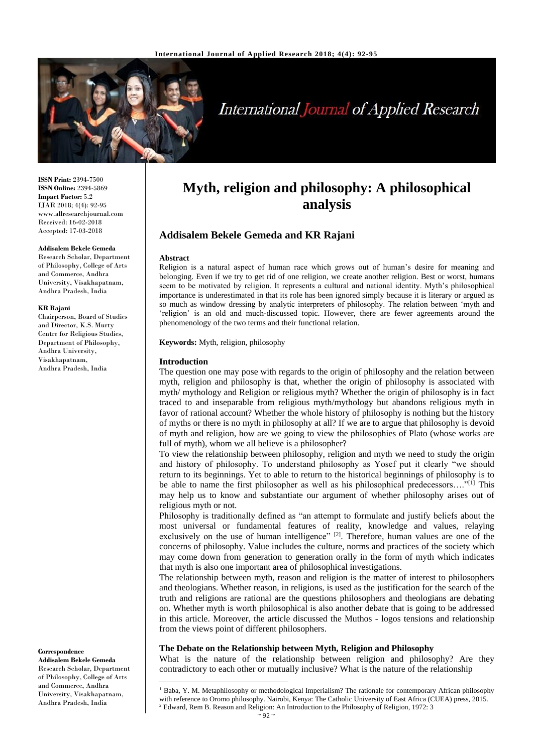

# **International Journal of Applied Research**

**ISSN Print:** 2394-7500 **ISSN Online:** 2394-5869 **Impact Factor:** 5.2 IJAR 2018; 4(4): 92-95 www.allresearchjournal.com Received: 16-02-2018 Accepted: 17-03-2018

## **Addisalem Bekele Gemeda**

Research Scholar, Department of Philosophy, College of Arts and Commerce, Andhra University, Visakhapatnam, Andhra Pradesh, India

#### **KR Rajani**

Chairperson, Board of Studies and Director, K.S. Murty Centre for Religious Studies, Department of Philosophy, Andhra University, Visakhapatnam, Andhra Pradesh, India

**Correspondence**

**Addisalem Bekele Gemeda** Research Scholar, Department of Philosophy, College of Arts and Commerce, Andhra University, Visakhapatnam, Andhra Pradesh, India

 $\overline{\phantom{a}}$ 

## **Myth, religion and philosophy: A philosophical analysis**

## **Addisalem Bekele Gemeda and KR Rajani**

#### **Abstract**

Religion is a natural aspect of human race which grows out of human's desire for meaning and belonging. Even if we try to get rid of one religion, we create another religion. Best or worst, humans seem to be motivated by religion. It represents a cultural and national identity. Myth's philosophical importance is underestimated in that its role has been ignored simply because it is literary or argued as so much as window dressing by analytic interpreters of philosophy. The relation between 'myth and 'religion' is an old and much-discussed topic. However, there are fewer agreements around the phenomenology of the two terms and their functional relation.

**Keywords:** Myth, religion, philosophy

#### **Introduction**

The question one may pose with regards to the origin of philosophy and the relation between myth, religion and philosophy is that, whether the origin of philosophy is associated with myth/ mythology and Religion or religious myth? Whether the origin of philosophy is in fact traced to and inseparable from religious myth/mythology but abandons religious myth in favor of rational account? Whether the whole history of philosophy is nothing but the history of myths or there is no myth in philosophy at all? If we are to argue that philosophy is devoid of myth and religion, how are we going to view the philosophies of Plato (whose works are full of myth), whom we all believe is a philosopher?

To view the relationship between philosophy, religion and myth we need to study the origin and history of philosophy. To understand philosophy as Yosef put it clearly "we should return to its beginnings. Yet to able to return to the historical beginnings of philosophy is to be able to name the first philosopher as well as his philosophical predecessors...."<sup>[1]</sup> This may help us to know and substantiate our argument of whether philosophy arises out of religious myth or not.

Philosophy is traditionally defined as "an attempt to formulate and justify beliefs about the most universal or fundamental features of reality, knowledge and values, relaying exclusively on the use of human intelligence"  $[2]$ . Therefore, human values are one of the concerns of philosophy. Value includes the culture, norms and practices of the society which may come down from generation to generation orally in the form of myth which indicates that myth is also one important area of philosophical investigations.

The relationship between myth, reason and religion is the matter of interest to philosophers and theologians. Whether reason, in religions, is used as the justification for the search of the truth and religions are rational are the questions philosophers and theologians are debating on. Whether myth is worth philosophical is also another debate that is going to be addressed in this article. Moreover, the article discussed the Muthos - logos tensions and relationship from the views point of different philosophers.

#### **The Debate on the Relationship between Myth, Religion and Philosophy**

What is the nature of the relationship between religion and philosophy? Are they contradictory to each other or mutually inclusive? What is the nature of the relationship

<sup>&</sup>lt;sup>1</sup> Baba, Y. M. Metaphilosophy or methodological Imperialism? The rationale for contemporary African philosophy with reference to Oromo philosophy. Nairobi, Kenya: The Catholic University of East Africa (CUEA) press, 2015.  $2$  Edward, Rem B. Reason and Religion: An Introduction to the Philosophy of Religion, 1972: 3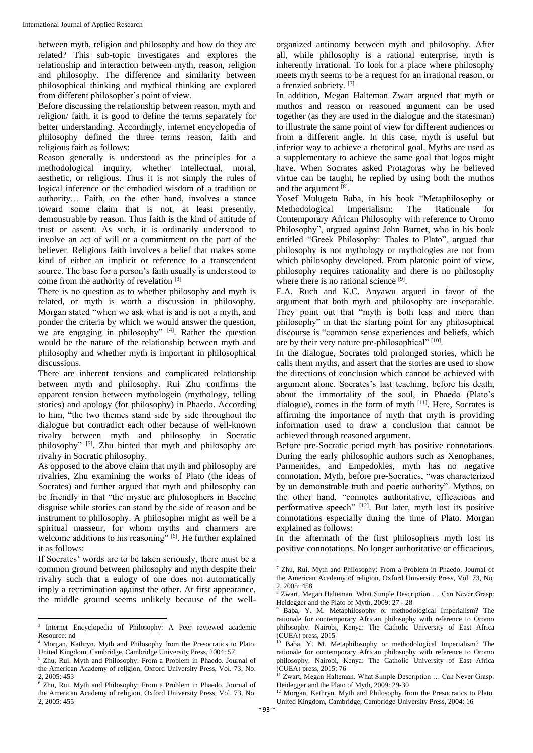between myth, religion and philosophy and how do they are related? This sub-topic investigates and explores the relationship and interaction between myth, reason, religion and philosophy. The difference and similarity between philosophical thinking and mythical thinking are explored from different philosopher's point of view.

Before discussing the relationship between reason, myth and religion/ faith, it is good to define the terms separately for better understanding. Accordingly, internet encyclopedia of philosophy defined the three terms reason, faith and religious faith as follows:

Reason generally is understood as the principles for a methodological inquiry, whether intellectual, moral, aesthetic, or religious. Thus it is not simply the rules of logical inference or the embodied wisdom of a tradition or authority… Faith, on the other hand, involves a stance toward some claim that is not, at least presently, demonstrable by reason. Thus faith is the kind of attitude of trust or assent. As such, it is ordinarily understood to involve an act of will or a commitment on the part of the believer. Religious faith involves a belief that makes some kind of either an implicit or reference to a transcendent source. The base for a person's faith usually is understood to come from the authority of revelation [3]

There is no question as to whether philosophy and myth is related, or myth is worth a discussion in philosophy. Morgan stated "when we ask what is and is not a myth, and ponder the criteria by which we would answer the question, we are engaging in philosophy" [4]. Rather the question would be the nature of the relationship between myth and philosophy and whether myth is important in philosophical discussions.

There are inherent tensions and complicated relationship between myth and philosophy. Rui Zhu confirms the apparent tension between mythologein (mythology, telling stories) and apology (for philosophy) in Phaedo. According to him, "the two themes stand side by side throughout the dialogue but contradict each other because of well-known rivalry between myth and philosophy in Socratic philosophy" [5]. Zhu hinted that myth and philosophy are rivalry in Socratic philosophy.

As opposed to the above claim that myth and philosophy are rivalries, Zhu examining the works of Plato (the ideas of Socrates) and further argued that myth and philosophy can be friendly in that "the mystic are philosophers in Bacchic disguise while stories can stand by the side of reason and be instrument to philosophy. A philosopher might as well be a spiritual masseur, for whom myths and charmers are welcome additions to his reasoning" [6]. He further explained it as follows:

If Socrates' words are to be taken seriously, there must be a common ground between philosophy and myth despite their rivalry such that a eulogy of one does not automatically imply a recrimination against the other. At first appearance, the middle ground seems unlikely because of the wellorganized antinomy between myth and philosophy. After all, while philosophy is a rational enterprise, myth is inherently irrational. To look for a place where philosophy meets myth seems to be a request for an irrational reason, or a frenzied sobriety. [7]

In addition, Megan Halteman Zwart argued that myth or muthos and reason or reasoned argument can be used together (as they are used in the dialogue and the statesman) to illustrate the same point of view for different audiences or from a different angle. In this case, myth is useful but inferior way to achieve a rhetorical goal. Myths are used as a supplementary to achieve the same goal that logos might have. When Socrates asked Protagoras why he believed virtue can be taught, he replied by using both the muthos and the argument [8] .

Yosef Mulugeta Baba, in his book "Metaphilosophy or Methodological Imperialism: The Rationale for Contemporary African Philosophy with reference to Oromo Philosophy", argued against John Burnet, who in his book entitled "Greek Philosophy: Thales to Plato", argued that philosophy is not mythology or mythologies are not from which philosophy developed. From platonic point of view, philosophy requires rationality and there is no philosophy where there is no rational science [9].

E.A. Ruch and K.C. Anyawu argued in favor of the argument that both myth and philosophy are inseparable. They point out that "myth is both less and more than philosophy" in that the starting point for any philosophical discourse is "common sense experiences and beliefs, which are by their very nature pre-philosophical" [10].

In the dialogue, Socrates told prolonged stories, which he calls them myths, and assert that the stories are used to show the directions of conclusion which cannot be achieved with argument alone. Socrates's last teaching, before his death, about the immortality of the soul, in Phaedo (Plato's dialogue), comes in the form of myth [11]. Here, Socrates is affirming the importance of myth that myth is providing information used to draw a conclusion that cannot be achieved through reasoned argument.

Before pre-Socratic period myth has positive connotations. During the early philosophic authors such as Xenophanes, Parmenides, and Empedokles, myth has no negative connotation. Myth, before pre-Socratics, "was characterized by un demonstrable truth and poetic authority". Mythos, on the other hand, "connotes authoritative, efficacious and performative speech" [12]. But later, myth lost its positive connotations especially during the time of Plato. Morgan explained as follows:

In the aftermath of the first philosophers myth lost its positive connotations. No longer authoritative or efficacious,

<sup>&</sup>lt;sup>3</sup> Internet Encyclopedia of Philosophy: A Peer reviewed academic Resource: nd

<sup>4</sup> Morgan, Kathryn. Myth and Philosophy from the Presocratics to Plato. United Kingdom, Cambridge, Cambridge University Press, 2004: 57

<sup>5</sup> Zhu, Rui. Myth and Philosophy: From a Problem in Phaedo. Journal of the American Academy of religion, Oxford University Press, Vol. 73, No. 2, 2005: 453

<sup>6</sup> Zhu, Rui. Myth and Philosophy: From a Problem in Phaedo. Journal of the American Academy of religion, Oxford University Press, Vol. 73, No. 2, 2005: 455

<sup>1</sup> <sup>7</sup> Zhu, Rui. Myth and Philosophy: From a Problem in Phaedo. Journal of the American Academy of religion, Oxford University Press, Vol. 73, No.  $2, 2005: 458$ 

<sup>8</sup> Zwart, Megan Halteman. What Simple Description ... Can Never Grasp: Heidegger and the Plato of Myth, 2009: 27 - 28

<sup>9</sup> Baba, Y. M. Metaphilosophy or methodological Imperialism? The rationale for contemporary African philosophy with reference to Oromo philosophy. Nairobi, Kenya: The Catholic University of East Africa  $\overline{\text{CUEA}}$ ) press, 2015

Baba, Y. M. Metaphilosophy or methodological Imperialism? The rationale for contemporary African philosophy with reference to Oromo philosophy. Nairobi, Kenya: The Catholic University of East Africa (CUEA) press, 2015: 76

<sup>&</sup>lt;sup>11</sup> Zwart, Megan Halteman. What Simple Description ... Can Never Grasp: Heidegger and the Plato of Myth, 2009: 29-30

<sup>&</sup>lt;sup>12</sup> Morgan, Kathryn. Myth and Philosophy from the Presocratics to Plato. United Kingdom, Cambridge, Cambridge University Press, 2004: 16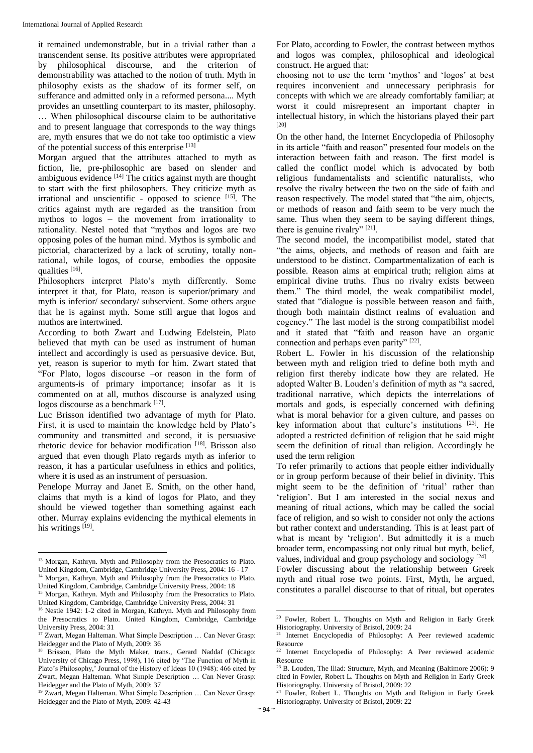it remained undemonstrable, but in a trivial rather than a transcendent sense. Its positive attributes were appropriated by philosophical discourse, and the criterion of demonstrability was attached to the notion of truth. Myth in philosophy exists as the shadow of its former self, on sufferance and admitted only in a reformed persona.... Myth provides an unsettling counterpart to its master, philosophy. … When philosophical discourse claim to be authoritative and to present language that corresponds to the way things are, myth ensures that we do not take too optimistic a view of the potential success of this enterprise [13]

Morgan argued that the attributes attached to myth as fiction, lie, pre-philosophic are based on slender and ambiguous evidence  $[14]$  The critics against myth are thought to start with the first philosophers. They criticize myth as irrational and unscientific - opposed to science [15]. The critics against myth are regarded as the transition from mythos to logos – the movement from irrationality to rationality. Nestel noted that "mythos and logos are two opposing poles of the human mind. Mythos is symbolic and pictorial, characterized by a lack of scrutiny, totally nonrational, while logos, of course, embodies the opposite qualities [16].

Philosophers interpret Plato's myth differently. Some interpret it that, for Plato, reason is superior/primary and myth is inferior/ secondary/ subservient. Some others argue that he is against myth. Some still argue that logos and muthos are intertwined.

According to both Zwart and Ludwing Edelstein, Plato believed that myth can be used as instrument of human intellect and accordingly is used as persuasive device. But, yet, reason is superior to myth for him. Zwart stated that "For Plato, logos discourse –or reason in the form of arguments-is of primary importance; insofar as it is commented on at all, muthos discourse is analyzed using logos discourse as a benchmark [17].

Luc Brisson identified two advantage of myth for Plato. First, it is used to maintain the knowledge held by Plato's community and transmitted and second, it is persuasive rhetoric device for behavior modification [18] . Brisson also argued that even though Plato regards myth as inferior to reason, it has a particular usefulness in ethics and politics, where it is used as an instrument of persuasion.

Penelope Murray and Janet E. Smith, on the other hand, claims that myth is a kind of logos for Plato, and they should be viewed together than something against each other. Murray explains evidencing the mythical elements in his writings [19].

 $\overline{a}$ 

For Plato, according to Fowler, the contrast between mythos and logos was complex, philosophical and ideological construct. He argued that:

choosing not to use the term 'mythos' and 'logos' at best requires inconvenient and unnecessary periphrasis for concepts with which we are already comfortably familiar; at worst it could misrepresent an important chapter in intellectual history, in which the historians played their part [20]

On the other hand, the Internet Encyclopedia of Philosophy in its article "faith and reason" presented four models on the interaction between faith and reason. The first model is called the conflict model which is advocated by both religious fundamentalists and scientific naturalists, who resolve the rivalry between the two on the side of faith and reason respectively. The model stated that "the aim, objects, or methods of reason and faith seem to be very much the same. Thus when they seem to be saying different things, there is genuine rivalry"  $[21]$ .

The second model, the incompatibilist model, stated that "the aims, objects, and methods of reason and faith are understood to be distinct. Compartmentalization of each is possible. Reason aims at empirical truth; religion aims at empirical divine truths. Thus no rivalry exists between them." The third model, the weak compatibilist model, stated that "dialogue is possible between reason and faith, though both maintain distinct realms of evaluation and cogency." The last model is the strong compatibilist model and it stated that "faith and reason have an organic connection and perhaps even parity" [22].

Robert L. Fowler in his discussion of the relationship between myth and religion tried to define both myth and religion first thereby indicate how they are related. He adopted Walter B. Louden's definition of myth as "a sacred, traditional narrative, which depicts the interrelations of mortals and gods, is especially concerned with defining what is moral behavior for a given culture, and passes on key information about that culture's institutions  $[23]$ . He adopted a restricted definition of religion that he said might seem the definition of ritual than religion. Accordingly he used the term religion

To refer primarily to actions that people either individually or in group perform because of their belief in divinity. This might seem to be the definition of 'ritual' rather than 'religion'. But I am interested in the social nexus and meaning of ritual actions, which may be called the social face of religion, and so wish to consider not only the actions but rather context and understanding. This is at least part of what is meant by 'religion'. But admittedly it is a much broader term, encompassing not only ritual but myth, belief, values, individual and group psychology and sociology  $[24]$ 

Fowler discussing about the relationship between Greek myth and ritual rose two points. First, Myth, he argued, constitutes a parallel discourse to that of ritual, but operates

1

<sup>&</sup>lt;sup>13</sup> Morgan, Kathryn. Myth and Philosophy from the Presocratics to Plato. United Kingdom, Cambridge, Cambridge University Press, 2004: 16 - 17 <sup>14</sup> Morgan, Kathryn. Myth and Philosophy from the Presocratics to Plato.

United Kingdom, Cambridge, Cambridge University Press, 2004: 18 <sup>15</sup> Morgan, Kathryn. Myth and Philosophy from the Presocratics to Plato.

United Kingdom, Cambridge, Cambridge University Press, 2004: 31 <sup>16</sup> Nestle 1942: 1-2 cited in Morgan, Kathryn. Myth and Philosophy from the Presocratics to Plato. United Kingdom, Cambridge, Cambridge University Press, 2004: 31

<sup>&</sup>lt;sup>17</sup> Zwart, Megan Halteman. What Simple Description ... Can Never Grasp: Heidegger and the Plato of Myth, 2009: 36

<sup>&</sup>lt;sup>18</sup> Brisson, Plato the Myth Maker, trans., Gerard Naddaf (Chicago: University of Chicago Press, 1998), 116 cited by 'The Function of Myth in Plato's Philosophy,' Journal of the History of Ideas 10 (1948): 466 cited by Zwart, Megan Halteman. What Simple Description … Can Never Grasp: Heidegger and the Plato of Myth, 2009: 37

<sup>&</sup>lt;sup>19</sup> Zwart, Megan Halteman. What Simple Description ... Can Never Grasp: Heidegger and the Plato of Myth, 2009: 42-43

<sup>&</sup>lt;sup>20</sup> Fowler, Robert L. Thoughts on Myth and Religion in Early Greek Historiography. University of Bristol, 2009: 24

<sup>&</sup>lt;sup>21</sup> Internet Encyclopedia of Philosophy: A Peer reviewed academic Resource

<sup>22</sup> Internet Encyclopedia of Philosophy: A Peer reviewed academic Resource

<sup>&</sup>lt;sup>23</sup> B. Louden, The Iliad: Structure, Myth, and Meaning (Baltimore 2006): 9 cited in Fowler, Robert L. Thoughts on Myth and Religion in Early Greek Historiography. University of Bristol, 2009: 22

<sup>&</sup>lt;sup>24</sup> Fowler, Robert L. Thoughts on Myth and Religion in Early Greek Historiography. University of Bristol, 2009: 22